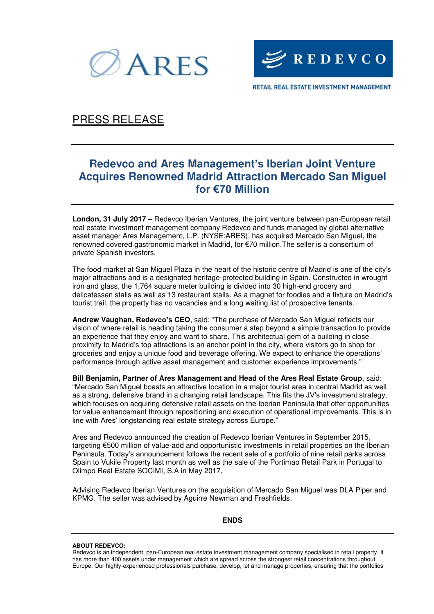



RETAIL REAL ESTATE INVESTMENT MANAGEMENT

## PRESS RELEASE

# **Redevco and Ares Management's Iberian Joint Venture Acquires Renowned Madrid Attraction Mercado San Miguel for €70 Million**

**London, 31 July 2017 –** Redevco Iberian Ventures, the joint venture between pan-European retail real estate investment management company Redevco and funds managed by global alternative asset manager Ares Management, L.P. (NYSE:ARES), has acquired Mercado San Miguel, the renowned covered gastronomic market in Madrid, for €70 million.The seller is a consortium of private Spanish investors.

The food market at San Miguel Plaza in the heart of the historic centre of Madrid is one of the city's major attractions and is a designated heritage-protected building in Spain. Constructed in wrought iron and glass, the 1,764 square meter building is divided into 30 high-end grocery and delicatessen stalls as well as 13 restaurant stalls. As a magnet for foodies and a fixture on Madrid's tourist trail, the property has no vacancies and a long waiting list of prospective tenants.

**Andrew Vaughan, Redevco's CEO**, said: "The purchase of Mercado San Miguel reflects our vision of where retail is heading taking the consumer a step beyond a simple transaction to provide an experience that they enjoy and want to share. This architectual gem of a building in close proximity to Madrid's top attractions is an anchor point in the city, where visitors go to shop for groceries and enjoy a unique food and beverage offering. We expect to enhance the operations' performance through active asset management and customer experience improvements."

**Bill Benjamin, Partner of Ares Management and Head of the Ares Real Estate Group**, said: "Mercado San Miguel boasts an attractive location in a major tourist area in central Madrid as well as a strong, defensive brand in a changing retail landscape. This fits the JV's investment strategy, which focuses on acquiring defensive retail assets on the Iberian Peninsula that offer opportunities for value enhancement through repositioning and execution of operational improvements. This is in line with Ares' longstanding real estate strategy across Europe."

Ares and Redevco announced the creation of Redevco Iberian Ventures in September 2015, targeting €500 million of value-add and opportunistic investments in retail properties on the Iberian Peninsula. Today's announcement follows the recent sale of a portfolio of nine retail parks across Spain to Vukile Property last month as well as the sale of the Portimao Retail Park in Portugal to Olimpo Real Estate SOCIMI, S.A in May 2017.

Advising Redevco Iberian Ventures on the acquisition of Mercado San Miguel was DLA Piper and KPMG. The seller was advised by Aguirre Newman and Freshfields.

### **ENDS**

### **ABOUT REDEVCO:**

Redevco is an independent, pan-European real estate investment management company specialised in retail property. It has more than 400 assets under management which are spread across the strongest retail concentrations throughout Europe. Our highly-experienced professionals purchase, develop, let and manage properties, ensuring that the portfolios